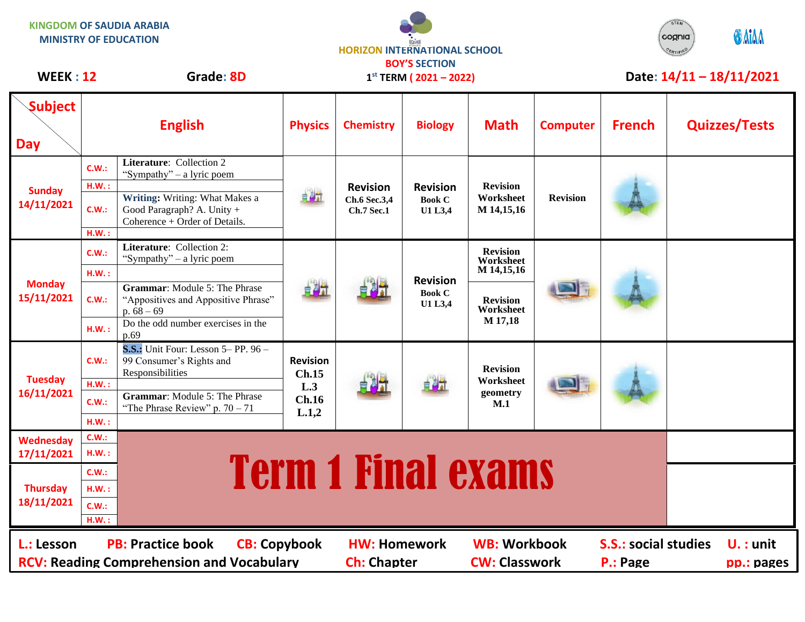**KINGDOM OF SAUDIA ARABIA MINISTRY OF EDUCATION**

**Tuesday 16/11/2021**

**Wednesday 17/11/2021**

**Thursday 18/11/2021** **C.W.:**

**H.W. :**

**H.W. :**

**C.W.:**

**C.W.: H.W. : C.W.: H.W. :**

99 Consumer's Rights and

**C.W.: Grammar**: Module 5: The Phrase "The Phrase Review" p.  $70 - 71$ 

Responsibilities





## **1 st TERM ( 2021 – 2022)** WEEK : 12 Grade: 8D  $1^{st}$  TERM (2021 – 2022) Date: 14/11 – 18/11/2021

**Revision Worksheet geometry M.1**

## **Subject English Physics Chemistry Biology Math Computer French Quizzes/Tests Day C.W.: Literature**: Collection 2 "Sympathy" – a lyric poem **H.W. : Revision Revision Revision Sunday Writing:** Writing: What Makes a 부정식 **Worksheet Revision Ch.6 Sec.3,4 Book C 14/11/2021 C.W.:** Good Paragraph? A. Unity + **Ch.7 Sec.1 U1 L3,4 M 14,15,16** Coherence + Order of Details. **H.W. : C.W.: Literature**: Collection 2: **Revision**  "Sympathy" – a lyric poem **Worksheet H.W. : M 14,15,16 Revision Monday Grammar**: Module 5: The Phrase 自調計 **Book C 15/11/2021 C.W.:** "Appositives and Appositive Phrase" **Revision U1 L3,4 Worksheet** p.  $68 - 69$ **H.W.**: Do the odd number exercises in the **M 17,18** p.69 **S.S.:** Unit Four: Lesson 5– PP. 96 –

**L.: Lesson PB: Practice book CB: Copybook HW: Homework WB: Workbook S.S.: social studies U. : unit RCV: Reading Comprehension and Vocabulary and Ch: Chapter CW: Classwork P.: Page pp.: pages** 

自調話

**Revision Ch.15 L.3 Ch.16 L.1,2**

<u>E.W.:</u> Term 1 Final exams